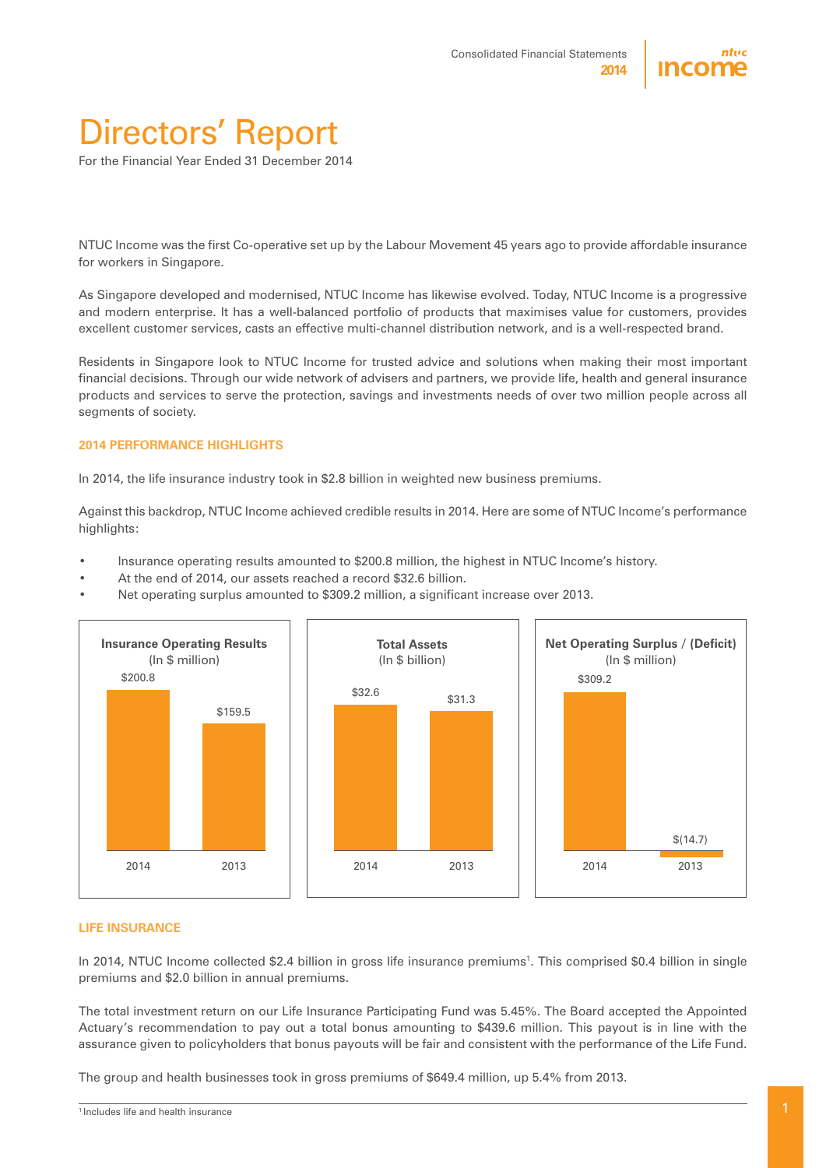

# Directors' Report

For the Financial Year Ended 31 December 2014

NTUC Income was the first Co-operative set up by the Labour Movement 45 years ago to provide affordable insurance for workers in Singapore.

As Singapore developed and modernised, NTUC Income has likewise evolved. Today, NTUC Income is a progressive and modern enterprise. It has a well-balanced portfolio of products that maximises value for customers, provides excellent customer services, casts an effective multi-channel distribution network, and is a well-respected brand.

Residents in Singapore look to NTUC Income for trusted advice and solutions when making their most important financial decisions. Through our wide network of advisers and partners, we provide life, health and general insurance products and services to serve the protection, savings and investments needs of over two million people across all segments of society.

#### **2014 PERFORMANCE HIGHLIGHTS**

In 2014, the life insurance industry took in \$2.8 billion in weighted new business premiums.

Against this backdrop, NTUC Income achieved credible results in 2014. Here are some of NTUC Income's performance highlights:

- Insurance operating results amounted to \$200.8 million, the highest in NTUC Income's history.
- At the end of 2014, our assets reached a record \$32.6 billion.
- Net operating surplus amounted to \$309.2 million, a significant increase over 2013.



#### **LIFE INSURANCE**

In 2014, NTUC Income collected \$2.4 billion in gross life insurance premiums<sup>1</sup>. This comprised \$0.4 billion in single premiums and \$2.0 billion in annual premiums.

The total investment return on our Life Insurance Participating Fund was 5.45%. The Board accepted the Appointed Actuary's recommendation to pay out a total bonus amounting to \$439.6 million. This payout is in line with the assurance given to policyholders that bonus payouts will be fair and consistent with the performance of the Life Fund.

The group and health businesses took in gross premiums of \$649.4 million, up 5.4% from 2013.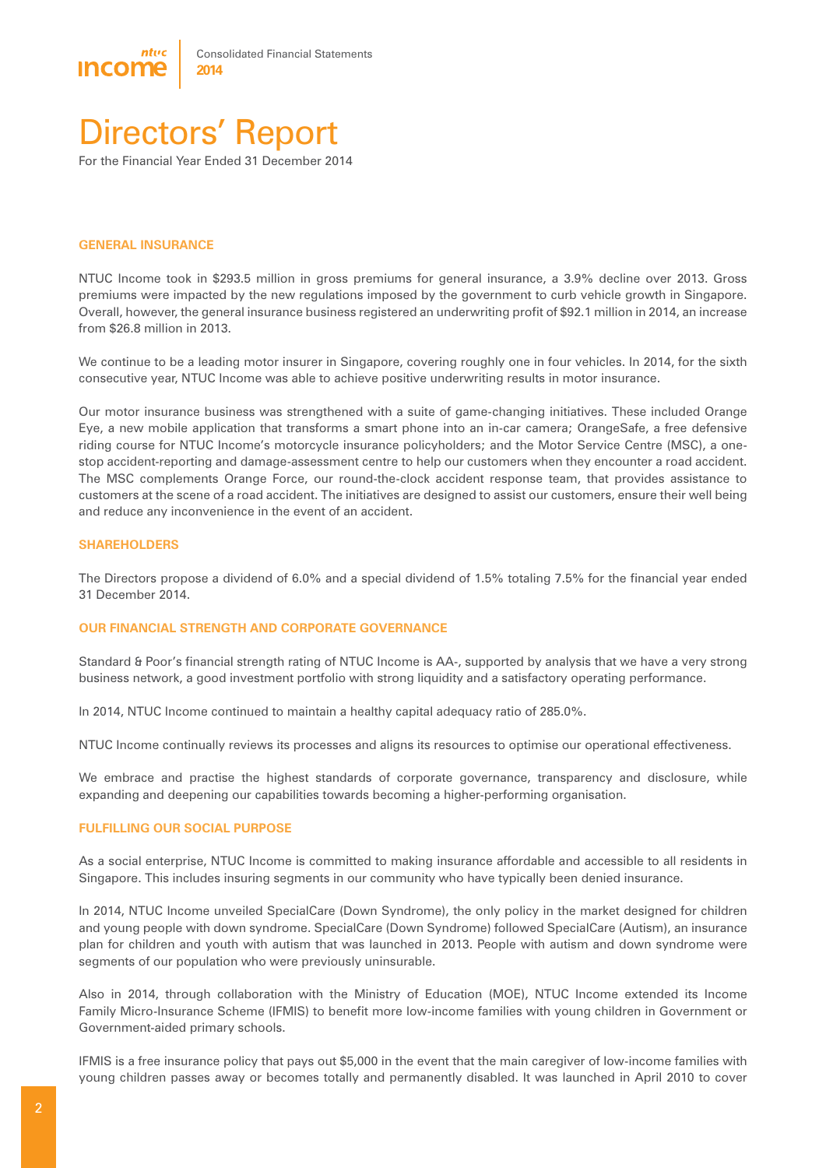

## Directors' Report

For the Financial Year Ended 31 December 2014

#### **GENERAL INSURANCE**

NTUC Income took in \$293.5 million in gross premiums for general insurance, a 3.9% decline over 2013. Gross premiums were impacted by the new regulations imposed by the government to curb vehicle growth in Singapore. Overall, however, the general insurance business registered an underwriting profit of \$92.1 million in 2014, an increase from \$26.8 million in 2013.

We continue to be a leading motor insurer in Singapore, covering roughly one in four vehicles. In 2014, for the sixth consecutive year, NTUC Income was able to achieve positive underwriting results in motor insurance.

Our motor insurance business was strengthened with a suite of game-changing initiatives. These included Orange Eye, a new mobile application that transforms a smart phone into an in-car camera; OrangeSafe, a free defensive riding course for NTUC Income's motorcycle insurance policyholders; and the Motor Service Centre (MSC), a onestop accident-reporting and damage-assessment centre to help our customers when they encounter a road accident. The MSC complements Orange Force, our round-the-clock accident response team, that provides assistance to customers at the scene of a road accident. The initiatives are designed to assist our customers, ensure their well being and reduce any inconvenience in the event of an accident.

#### **SHAREHOLDERS**

The Directors propose a dividend of 6.0% and a special dividend of 1.5% totaling 7.5% for the financial year ended 31 December 2014.

#### **OUR FINANCIAL STRENGTH AND CORPORATE GOVERNANCE**

Standard & Poor's financial strength rating of NTUC Income is AA-, supported by analysis that we have a very strong business network, a good investment portfolio with strong liquidity and a satisfactory operating performance.

In 2014, NTUC Income continued to maintain a healthy capital adequacy ratio of 285.0%.

NTUC Income continually reviews its processes and aligns its resources to optimise our operational effectiveness.

We embrace and practise the highest standards of corporate governance, transparency and disclosure, while expanding and deepening our capabilities towards becoming a higher-performing organisation.

#### **FULFILLING OUR SOCIAL PURPOSE**

As a social enterprise, NTUC Income is committed to making insurance affordable and accessible to all residents in Singapore. This includes insuring segments in our community who have typically been denied insurance.

In 2014, NTUC Income unveiled SpecialCare (Down Syndrome), the only policy in the market designed for children and young people with down syndrome. SpecialCare (Down Syndrome) followed SpecialCare (Autism), an insurance plan for children and youth with autism that was launched in 2013. People with autism and down syndrome were segments of our population who were previously uninsurable.

Also in 2014, through collaboration with the Ministry of Education (MOE), NTUC Income extended its Income Family Micro-Insurance Scheme (IFMIS) to benefit more low-income families with young children in Government or Government-aided primary schools.

IFMIS is a free insurance policy that pays out \$5,000 in the event that the main caregiver of low-income families with young children passes away or becomes totally and permanently disabled. It was launched in April 2010 to cover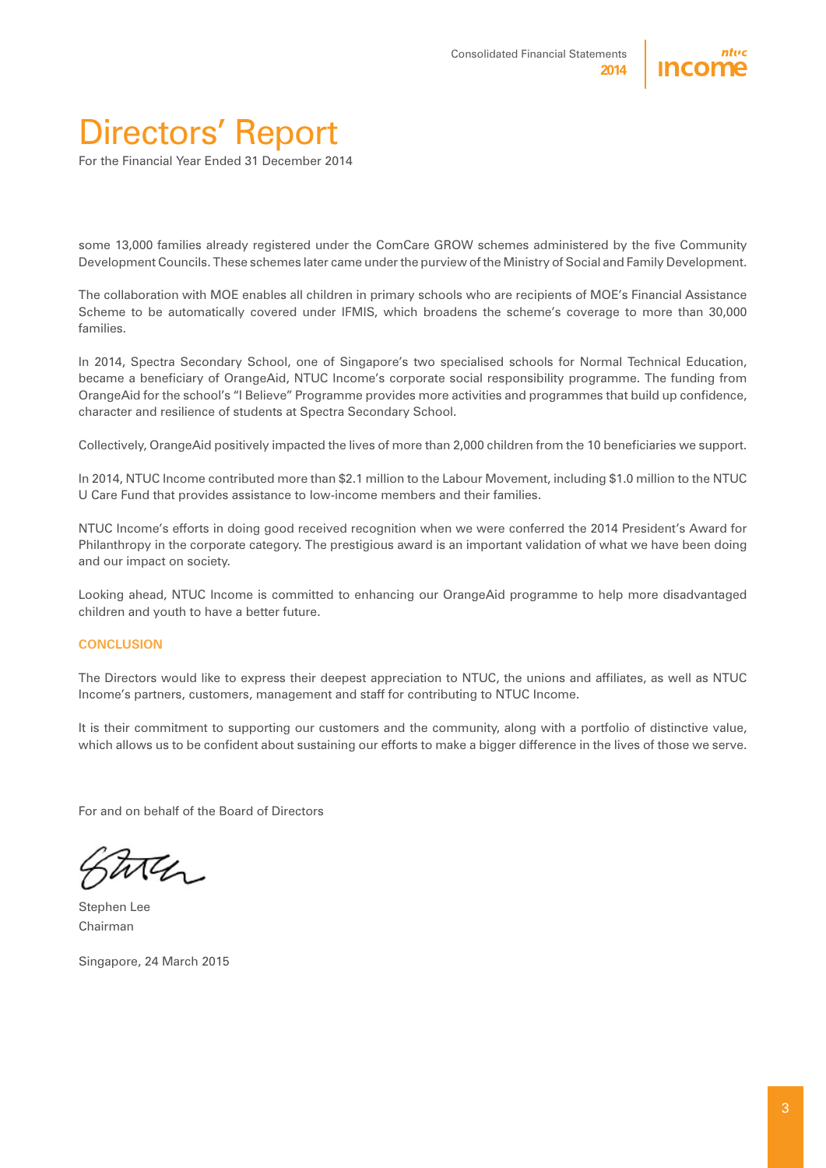

# Directors' Report

For the Financial Year Ended 31 December 2014

some 13,000 families already registered under the ComCare GROW schemes administered by the five Community Development Councils. These schemes later came under the purview of the Ministry of Social and Family Development.

The collaboration with MOE enables all children in primary schools who are recipients of MOE's Financial Assistance Scheme to be automatically covered under IFMIS, which broadens the scheme's coverage to more than 30,000 families.

In 2014, Spectra Secondary School, one of Singapore's two specialised schools for Normal Technical Education, became a beneficiary of OrangeAid, NTUC Income's corporate social responsibility programme. The funding from OrangeAid for the school's "I Believe" Programme provides more activities and programmes that build up confidence, character and resilience of students at Spectra Secondary School.

Collectively, OrangeAid positively impacted the lives of more than 2,000 children from the 10 beneficiaries we support.

In 2014, NTUC Income contributed more than \$2.1 million to the Labour Movement, including \$1.0 million to the NTUC U Care Fund that provides assistance to low-income members and their families.

NTUC Income's efforts in doing good received recognition when we were conferred the 2014 President's Award for Philanthropy in the corporate category. The prestigious award is an important validation of what we have been doing and our impact on society.

Looking ahead, NTUC Income is committed to enhancing our OrangeAid programme to help more disadvantaged children and youth to have a better future.

#### **CONCLUSION**

The Directors would like to express their deepest appreciation to NTUC, the unions and affiliates, as well as NTUC Income's partners, customers, management and staff for contributing to NTUC Income.

It is their commitment to supporting our customers and the community, along with a portfolio of distinctive value, which allows us to be confident about sustaining our efforts to make a bigger difference in the lives of those we serve.

For and on behalf of the Board of Directors

Stephen Lee Chairman

Singapore, 24 March 2015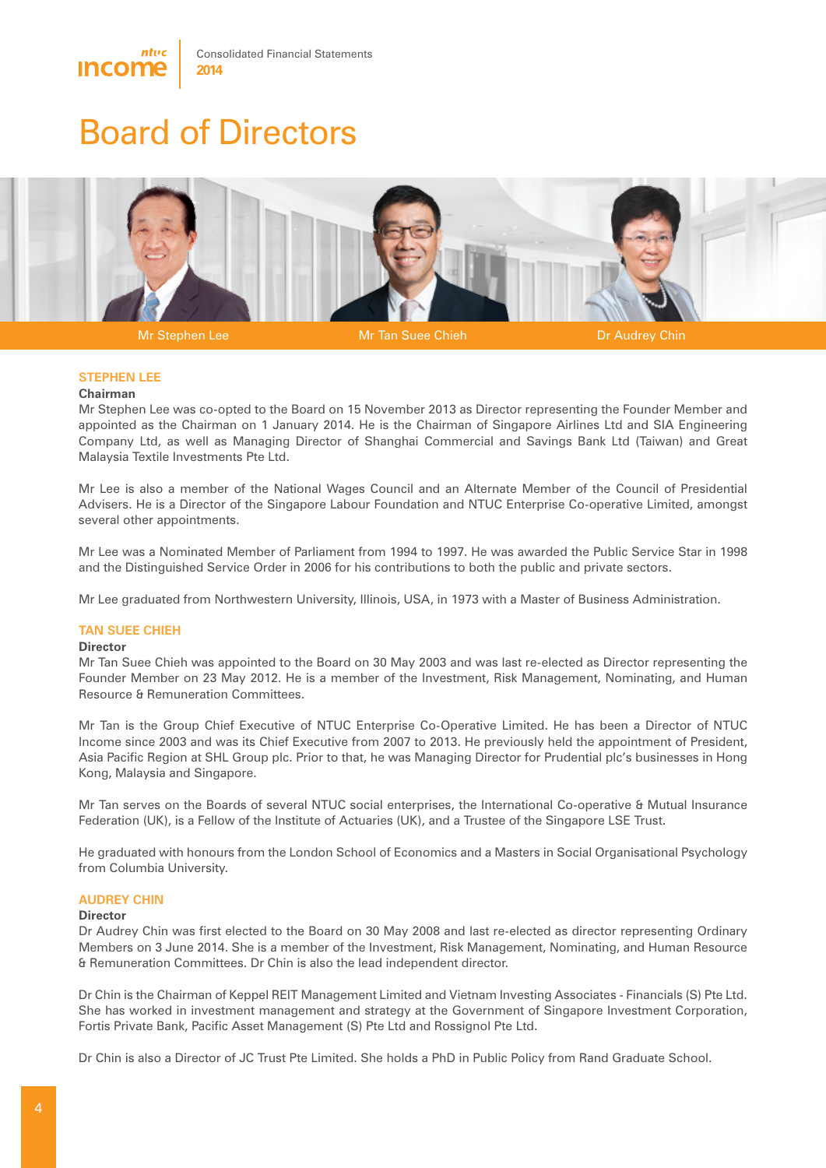



Mr Stephen Lee **Mr Tan Suee Chieh Dr Audrey Chin** Dr Audrey Chin

#### **STEPHEN LEE**

#### **Chairman**

Mr Stephen Lee was co-opted to the Board on 15 November 2013 as Director representing the Founder Member and appointed as the Chairman on 1 January 2014. He is the Chairman of Singapore Airlines Ltd and SIA Engineering Company Ltd, as well as Managing Director of Shanghai Commercial and Savings Bank Ltd (Taiwan) and Great Malaysia Textile Investments Pte Ltd.

Mr Lee is also a member of the National Wages Council and an Alternate Member of the Council of Presidential Advisers. He is a Director of the Singapore Labour Foundation and NTUC Enterprise Co-operative Limited, amongst several other appointments.

Mr Lee was a Nominated Member of Parliament from 1994 to 1997. He was awarded the Public Service Star in 1998 and the Distinguished Service Order in 2006 for his contributions to both the public and private sectors.

Mr Lee graduated from Northwestern University, Illinois, USA, in 1973 with a Master of Business Administration.

#### **TAN SUEE CHIEH**

#### **Director**

Mr Tan Suee Chieh was appointed to the Board on 30 May 2003 and was last re-elected as Director representing the Founder Member on 23 May 2012. He is a member of the Investment, Risk Management, Nominating, and Human Resource & Remuneration Committees.

Mr Tan is the Group Chief Executive of NTUC Enterprise Co-Operative Limited. He has been a Director of NTUC Income since 2003 and was its Chief Executive from 2007 to 2013. He previously held the appointment of President, Asia Pacific Region at SHL Group plc. Prior to that, he was Managing Director for Prudential plc's businesses in Hong Kong, Malaysia and Singapore.

Mr Tan serves on the Boards of several NTUC social enterprises, the International Co-operative & Mutual Insurance Federation (UK), is a Fellow of the Institute of Actuaries (UK), and a Trustee of the Singapore LSE Trust.

He graduated with honours from the London School of Economics and a Masters in Social Organisational Psychology from Columbia University.

#### **AUDREY CHIN**

#### **Director**

Dr Audrey Chin was first elected to the Board on 30 May 2008 and last re-elected as director representing Ordinary Members on 3 June 2014. She is a member of the Investment, Risk Management, Nominating, and Human Resource & Remuneration Committees. Dr Chin is also the lead independent director.

Dr Chin is the Chairman of Keppel REIT Management Limited and Vietnam Investing Associates - Financials (S) Pte Ltd. She has worked in investment management and strategy at the Government of Singapore Investment Corporation, Fortis Private Bank, Pacific Asset Management (S) Pte Ltd and Rossignol Pte Ltd.

Dr Chin is also a Director of JC Trust Pte Limited. She holds a PhD in Public Policy from Rand Graduate School.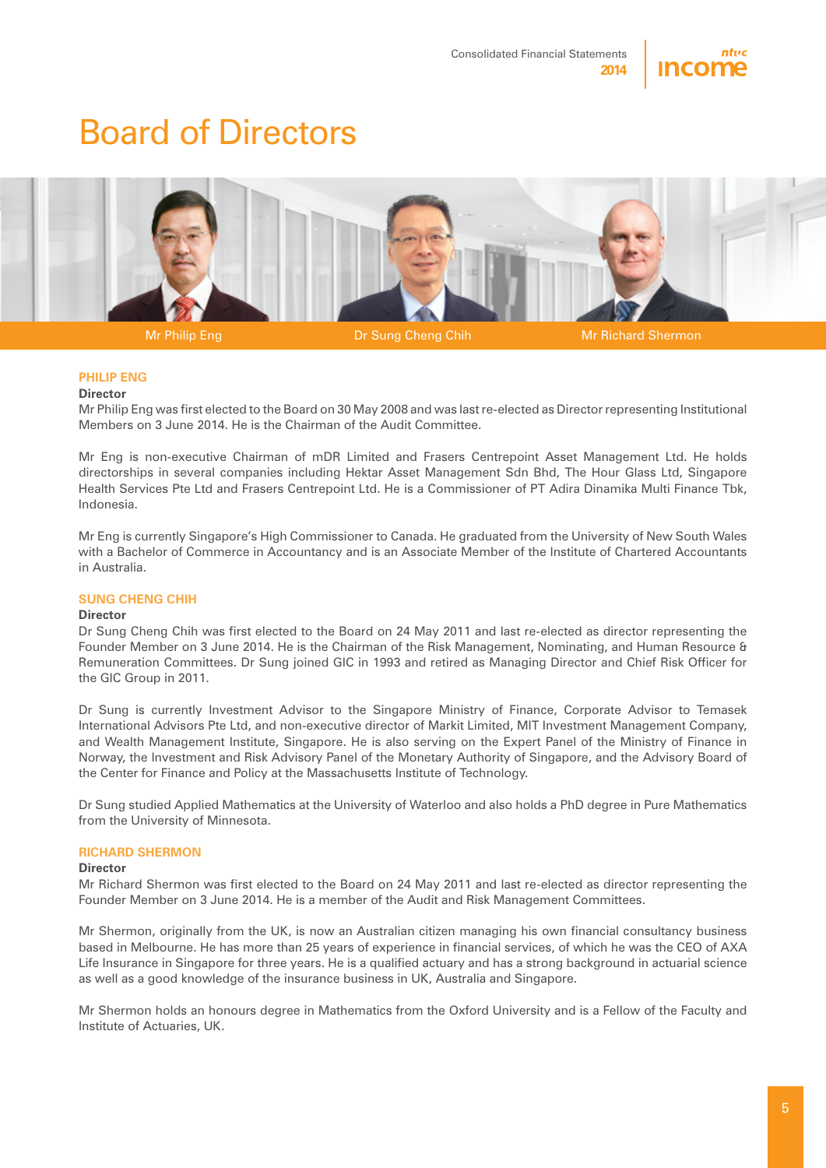



Mr Philip Eng Dr Sung Cheng Chih Mr Richard Shermon

#### **PHILIP ENG**

#### **Director**

Mr Philip Eng was first elected to the Board on 30 May 2008 and was last re-elected as Director representing Institutional Members on 3 June 2014. He is the Chairman of the Audit Committee.

Mr Eng is non-executive Chairman of mDR Limited and Frasers Centrepoint Asset Management Ltd. He holds directorships in several companies including Hektar Asset Management Sdn Bhd, The Hour Glass Ltd, Singapore Health Services Pte Ltd and Frasers Centrepoint Ltd. He is a Commissioner of PT Adira Dinamika Multi Finance Tbk, Indonesia.

Mr Eng is currently Singapore's High Commissioner to Canada. He graduated from the University of New South Wales with a Bachelor of Commerce in Accountancy and is an Associate Member of the Institute of Chartered Accountants in Australia.

#### **SUNG CHENG CHIH**

#### **Director**

Dr Sung Cheng Chih was first elected to the Board on 24 May 2011 and last re-elected as director representing the Founder Member on 3 June 2014. He is the Chairman of the Risk Management, Nominating, and Human Resource & Remuneration Committees. Dr Sung joined GIC in 1993 and retired as Managing Director and Chief Risk Officer for the GIC Group in 2011.

Dr Sung is currently Investment Advisor to the Singapore Ministry of Finance, Corporate Advisor to Temasek International Advisors Pte Ltd, and non-executive director of Markit Limited, MIT Investment Management Company, and Wealth Management Institute, Singapore. He is also serving on the Expert Panel of the Ministry of Finance in Norway, the Investment and Risk Advisory Panel of the Monetary Authority of Singapore, and the Advisory Board of the Center for Finance and Policy at the Massachusetts Institute of Technology.

Dr Sung studied Applied Mathematics at the University of Waterloo and also holds a PhD degree in Pure Mathematics from the University of Minnesota.

#### **RICHARD SHERMON**

#### **Director**

Mr Richard Shermon was first elected to the Board on 24 May 2011 and last re-elected as director representing the Founder Member on 3 June 2014. He is a member of the Audit and Risk Management Committees.

Mr Shermon, originally from the UK, is now an Australian citizen managing his own financial consultancy business based in Melbourne. He has more than 25 years of experience in financial services, of which he was the CEO of AXA Life Insurance in Singapore for three years. He is a qualified actuary and has a strong background in actuarial science as well as a good knowledge of the insurance business in UK, Australia and Singapore.

Mr Shermon holds an honours degree in Mathematics from the Oxford University and is a Fellow of the Faculty and Institute of Actuaries, UK.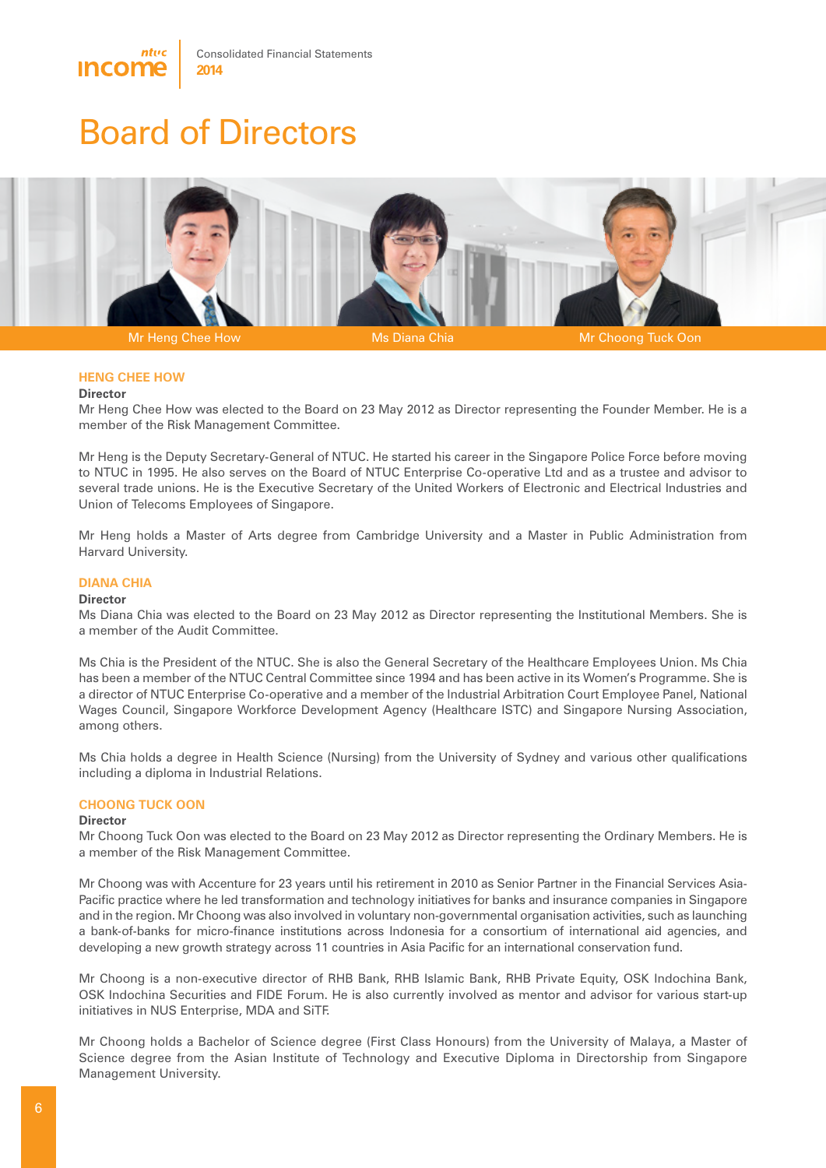



Mr Heng Chee How Ms Diana Chia Ms Diana Chia Mr Choong Tuck Oon

#### **HENG CHEE HOW**

#### **Director**

Mr Heng Chee How was elected to the Board on 23 May 2012 as Director representing the Founder Member. He is a member of the Risk Management Committee.

Mr Heng is the Deputy Secretary-General of NTUC. He started his career in the Singapore Police Force before moving to NTUC in 1995. He also serves on the Board of NTUC Enterprise Co-operative Ltd and as a trustee and advisor to several trade unions. He is the Executive Secretary of the United Workers of Electronic and Electrical Industries and Union of Telecoms Employees of Singapore.

Mr Heng holds a Master of Arts degree from Cambridge University and a Master in Public Administration from Harvard University.

#### **DIANA CHIA**

#### **Director**

Ms Diana Chia was elected to the Board on 23 May 2012 as Director representing the Institutional Members. She is a member of the Audit Committee.

Ms Chia is the President of the NTUC. She is also the General Secretary of the Healthcare Employees Union. Ms Chia has been a member of the NTUC Central Committee since 1994 and has been active in its Women's Programme. She is a director of NTUC Enterprise Co-operative and a member of the Industrial Arbitration Court Employee Panel, National Wages Council, Singapore Workforce Development Agency (Healthcare ISTC) and Singapore Nursing Association, among others.

Ms Chia holds a degree in Health Science (Nursing) from the University of Sydney and various other qualifications including a diploma in Industrial Relations.

#### **CHOONG TUCK OON**

#### **Director**

Mr Choong Tuck Oon was elected to the Board on 23 May 2012 as Director representing the Ordinary Members. He is a member of the Risk Management Committee.

Mr Choong was with Accenture for 23 years until his retirement in 2010 as Senior Partner in the Financial Services Asia-Pacific practice where he led transformation and technology initiatives for banks and insurance companies in Singapore and in the region. Mr Choong was also involved in voluntary non-governmental organisation activities, such as launching a bank-of-banks for micro-finance institutions across Indonesia for a consortium of international aid agencies, and developing a new growth strategy across 11 countries in Asia Pacific for an international conservation fund.

Mr Choong is a non-executive director of RHB Bank, RHB Islamic Bank, RHB Private Equity, OSK Indochina Bank, OSK Indochina Securities and FIDE Forum. He is also currently involved as mentor and advisor for various start-up initiatives in NUS Enterprise, MDA and SiTF.

Mr Choong holds a Bachelor of Science degree (First Class Honours) from the University of Malaya, a Master of Science degree from the Asian Institute of Technology and Executive Diploma in Directorship from Singapore Management University.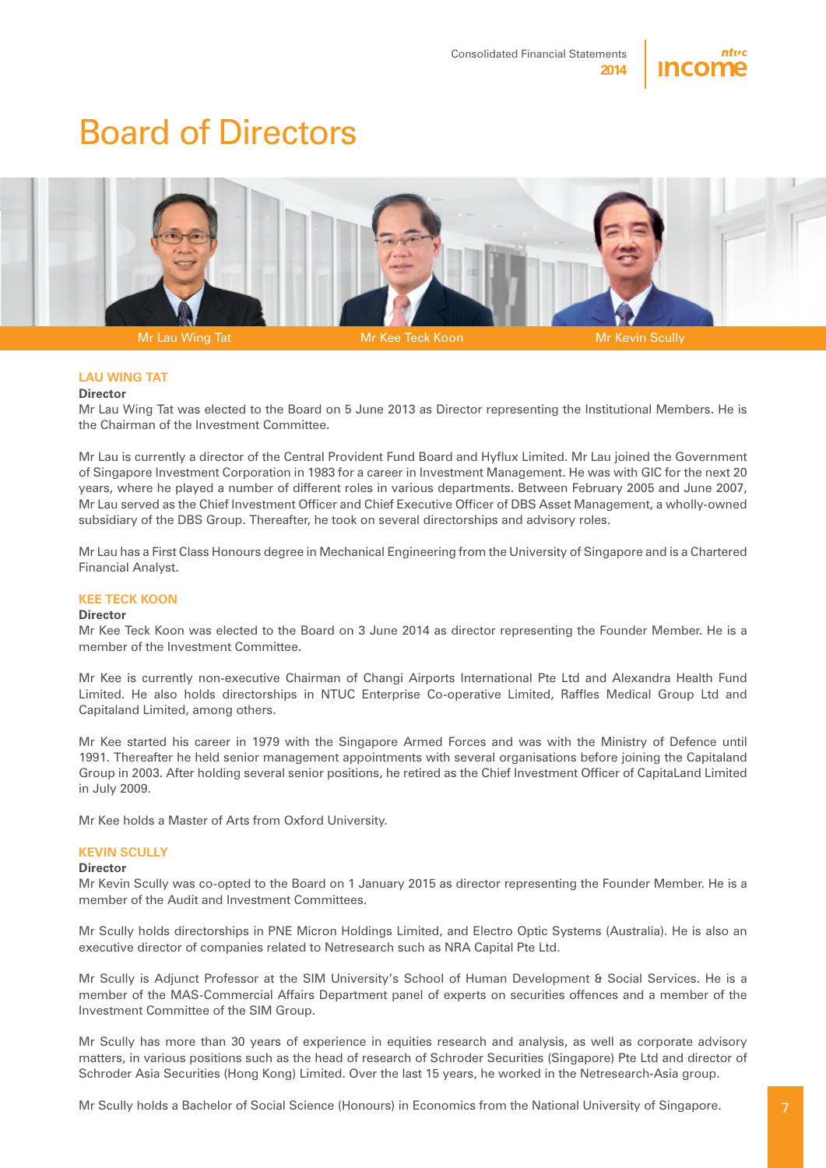



#### **LAU WING TAT**

#### **Director**

Mr Lau Wing Tat was elected to the Board on 5 June 2013 as Director representing the Institutional Members. He is the Chairman of the Investment Committee.

Mr Lau is currently a director of the Central Provident Fund Board and Hyflux Limited. Mr Lau joined the Government of Singapore Investment Corporation in 1983 for a career in Investment Management. He was with GIC for the next 20 years, where he played a number of different roles in various departments. Between February 2005 and June 2007, Mr Lau served as the Chief Investment Officer and Chief Executive Officer of DBS Asset Management, a wholly-owned subsidiary of the DBS Group. Thereafter, he took on several directorships and advisory roles.

Mr Lau has a First Class Honours degree in Mechanical Engineering from the University of Singapore and is a Chartered Financial Analyst.

#### **KEE TECK KOON**

#### **Director**

Mr Kee Teck Koon was elected to the Board on 3 June 2014 as director representing the Founder Member. He is a member of the Investment Committee.

Mr Kee is currently non-executive Chairman of Changi Airports International Pte Ltd and Alexandra Health Fund Limited. He also holds directorships in NTUC Enterprise Co-operative Limited, Raffles Medical Group Ltd and Capitaland Limited, among others.

Mr Kee started his career in 1979 with the Singapore Armed Forces and was with the Ministry of Defence until 1991. Thereafter he held senior management appointments with several organisations before joining the Capitaland Group in 2003. After holding several senior positions, he retired as the Chief Investment Officer of CapitaLand Limited in July 2009.

Mr Kee holds a Master of Arts from Oxford University.

#### **KEVIN SCULLY**

#### **Director**

Mr Kevin Scully was co-opted to the Board on 1 January 2015 as director representing the Founder Member. He is a member of the Audit and Investment Committees.

Mr Scully holds directorships in PNE Micron Holdings Limited, and Electro Optic Systems (Australia). He is also an executive director of companies related to Netresearch such as NRA Capital Pte Ltd.

Mr Scully is Adjunct Professor at the SIM University's School of Human Development & Social Services. He is a member of the MAS-Commercial Affairs Department panel of experts on securities offences and a member of the Investment Committee of the SIM Group.

Mr Scully has more than 30 years of experience in equities research and analysis, as well as corporate advisory matters, in various positions such as the head of research of Schroder Securities (Singapore) Pte Ltd and director of Schroder Asia Securities (Hong Kong) Limited. Over the last 15 years, he worked in the Netresearch-Asia group.

Mr Scully holds a Bachelor of Social Science (Honours) in Economics from the National University of Singapore.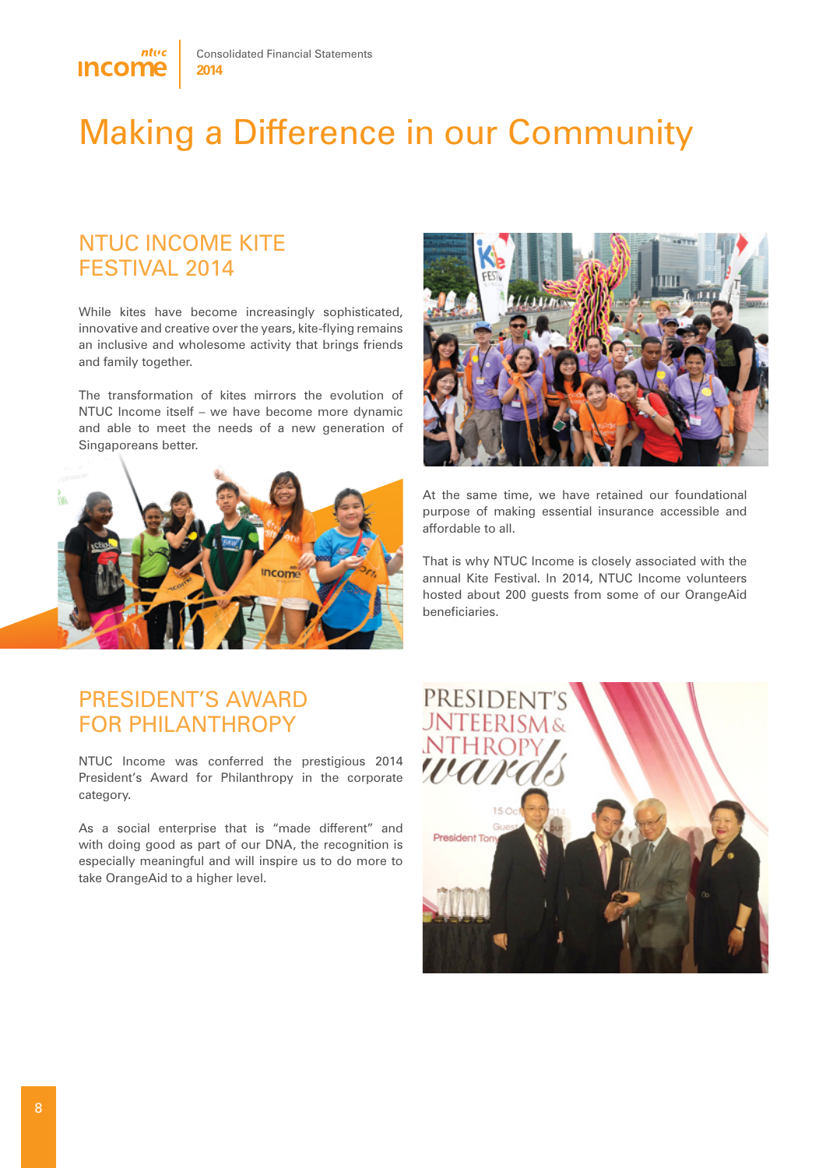

# Making a Difference in our Community

### NTUC Income Kite Festival 2014

While kites have become increasingly sophisticated, innovative and creative over the years, kite-flying remains an inclusive and wholesome activity that brings friends and family together.

The transformation of kites mirrors the evolution of NTUC Income itself – we have become more dynamic and able to meet the needs of a new generation of Singaporeans better.





At the same time, we have retained our foundational purpose of making essential insurance accessible and affordable to all.

That is why NTUC Income is closely associated with the annual Kite Festival. In 2014, NTUC Income volunteers hosted about 200 guests from some of our OrangeAid beneficiaries.

### President's Award for Philanthropy

NTUC Income was conferred the prestigious 2014 President's Award for Philanthropy in the corporate category.

As a social enterprise that is "made different" and with doing good as part of our DNA, the recognition is especially meaningful and will inspire us to do more to take OrangeAid to a higher level.

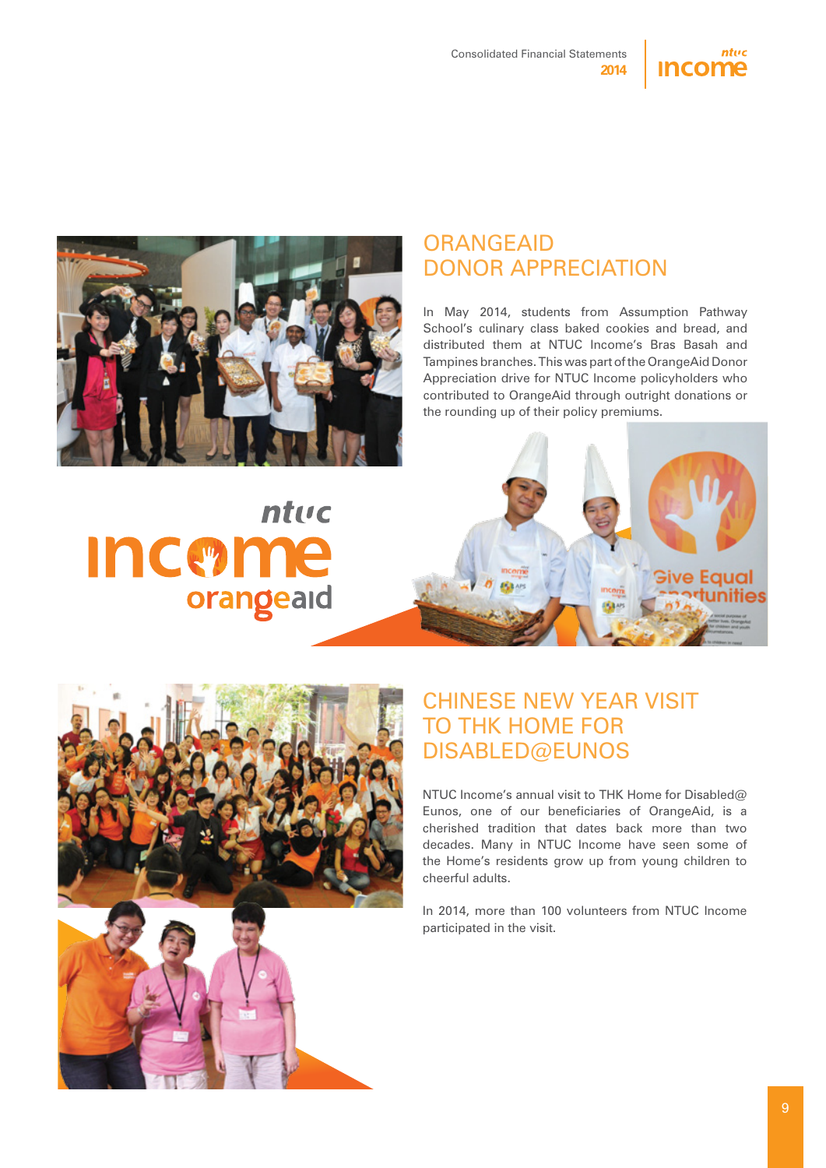



### **ORANGEAID** Donor Appreciation

In May 2014, students from Assumption Pathway School's culinary class baked cookies and bread, and distributed them at NTUC Income's Bras Basah and Tampines branches. This was part of the OrangeAid Donor Appreciation drive for NTUC Income policyholders who contributed to OrangeAid through outright donations or the rounding up of their policy premiums.

# ntuc **Incerne** orangeaid





### Chinese New Year Visit TO THK HOME FOR Disabled@Eunos

NTUC Income's annual visit to THK Home for Disabled@ Eunos, one of our beneficiaries of OrangeAid, is a cherished tradition that dates back more than two decades. Many in NTUC Income have seen some of the Home's residents grow up from young children to cheerful adults.

In 2014, more than 100 volunteers from NTUC Income participated in the visit.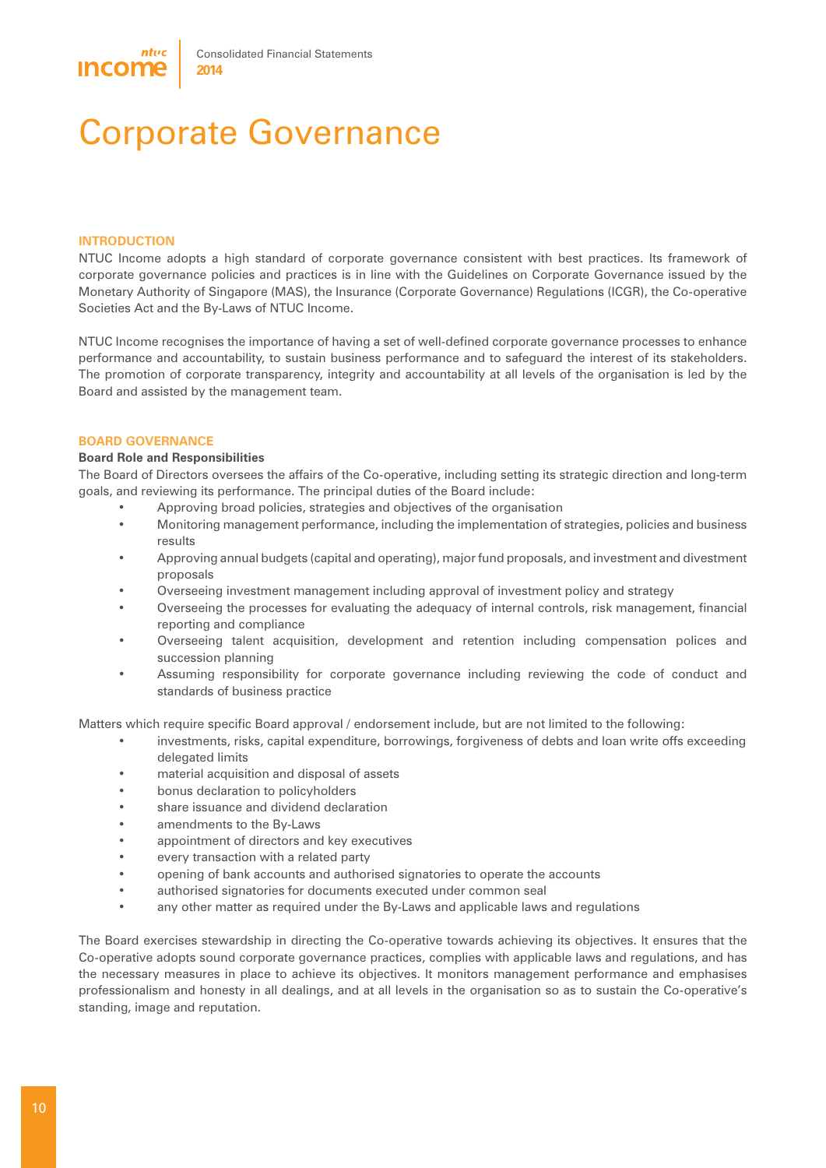# Corporate Governance

#### **INTRODUCTION**

NTUC Income adopts a high standard of corporate governance consistent with best practices. Its framework of corporate governance policies and practices is in line with the Guidelines on Corporate Governance issued by the Monetary Authority of Singapore (MAS), the Insurance (Corporate Governance) Regulations (ICGR), the Co-operative Societies Act and the By-Laws of NTUC Income.

NTUC Income recognises the importance of having a set of well-defined corporate governance processes to enhance performance and accountability, to sustain business performance and to safeguard the interest of its stakeholders. The promotion of corporate transparency, integrity and accountability at all levels of the organisation is led by the Board and assisted by the management team.

#### **BOARD GOVERNANCE**

#### **Board Role and Responsibilities**

The Board of Directors oversees the affairs of the Co-operative, including setting its strategic direction and long-term goals, and reviewing its performance. The principal duties of the Board include:

- Approving broad policies, strategies and objectives of the organisation
- Monitoring management performance, including the implementation of strategies, policies and business results
- Approving annual budgets (capital and operating), major fund proposals, and investment and divestment proposals
- Overseeing investment management including approval of investment policy and strategy
- Overseeing the processes for evaluating the adequacy of internal controls, risk management, financial reporting and compliance
- Overseeing talent acquisition, development and retention including compensation polices and succession planning
- Assuming responsibility for corporate governance including reviewing the code of conduct and standards of business practice

Matters which require specific Board approval / endorsement include, but are not limited to the following:

- investments, risks, capital expenditure, borrowings, forgiveness of debts and loan write offs exceeding delegated limits
- material acquisition and disposal of assets
- bonus declaration to policyholders
- share issuance and dividend declaration
- amendments to the By-Laws
- appointment of directors and key executives
- every transaction with a related party
- opening of bank accounts and authorised signatories to operate the accounts
- authorised signatories for documents executed under common seal
- any other matter as required under the By-Laws and applicable laws and regulations

The Board exercises stewardship in directing the Co-operative towards achieving its objectives. It ensures that the Co-operative adopts sound corporate governance practices, complies with applicable laws and regulations, and has the necessary measures in place to achieve its objectives. It monitors management performance and emphasises professionalism and honesty in all dealings, and at all levels in the organisation so as to sustain the Co-operative's standing, image and reputation.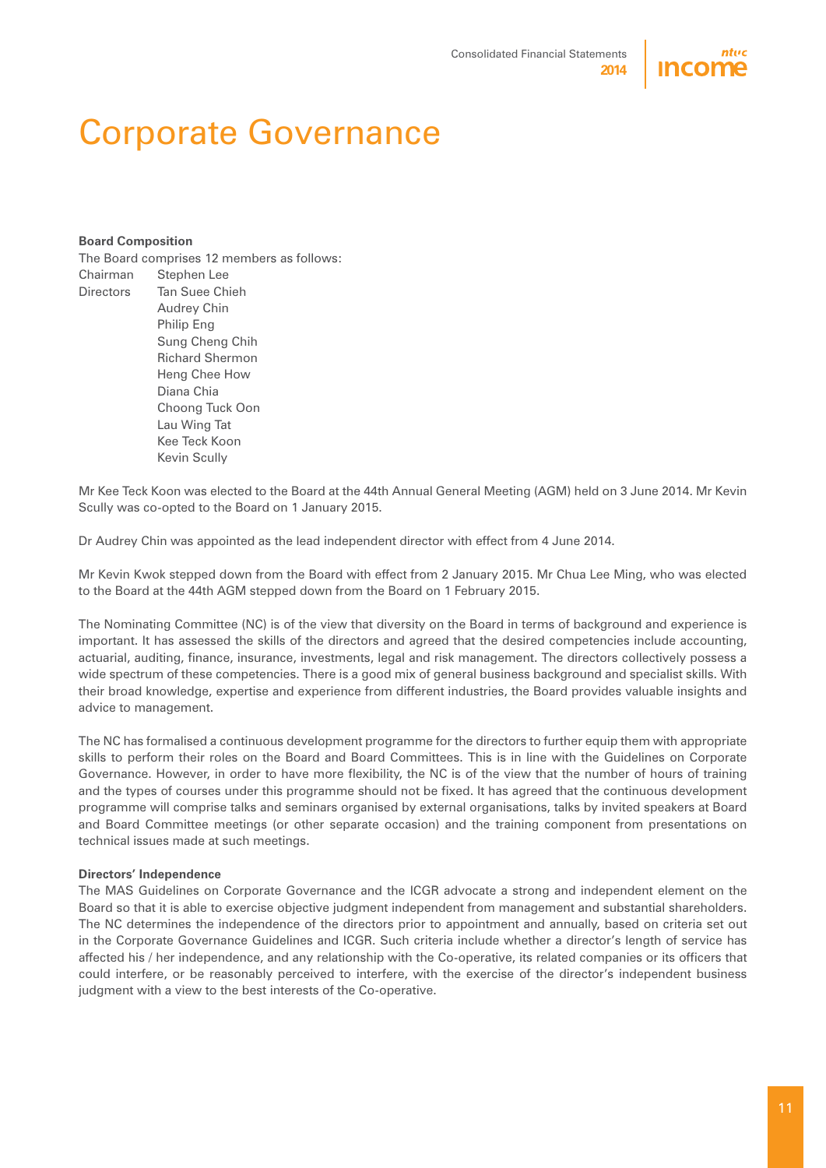

## Corporate Governance

#### **Board Composition**

|           | The Board comprises 12 members as follows: |  |  |  |  |
|-----------|--------------------------------------------|--|--|--|--|
| Chairman  | Stephen Lee                                |  |  |  |  |
| Directors | Tan Suee Chieh                             |  |  |  |  |
|           | <b>Audrey Chin</b>                         |  |  |  |  |
|           | Philip Eng                                 |  |  |  |  |
|           | Sung Cheng Chih                            |  |  |  |  |
|           | <b>Richard Shermon</b>                     |  |  |  |  |
|           | Heng Chee How                              |  |  |  |  |
|           | Diana Chia                                 |  |  |  |  |
|           | Choong Tuck Oon                            |  |  |  |  |
|           | Lau Wing Tat                               |  |  |  |  |
|           | Kee Teck Koon                              |  |  |  |  |
|           | Kevin Scully                               |  |  |  |  |
|           |                                            |  |  |  |  |

Mr Kee Teck Koon was elected to the Board at the 44th Annual General Meeting (AGM) held on 3 June 2014. Mr Kevin Scully was co-opted to the Board on 1 January 2015.

Dr Audrey Chin was appointed as the lead independent director with effect from 4 June 2014.

Mr Kevin Kwok stepped down from the Board with effect from 2 January 2015. Mr Chua Lee Ming, who was elected to the Board at the 44th AGM stepped down from the Board on 1 February 2015.

The Nominating Committee (NC) is of the view that diversity on the Board in terms of background and experience is important. It has assessed the skills of the directors and agreed that the desired competencies include accounting, actuarial, auditing, finance, insurance, investments, legal and risk management. The directors collectively possess a wide spectrum of these competencies. There is a good mix of general business background and specialist skills. With their broad knowledge, expertise and experience from different industries, the Board provides valuable insights and advice to management.

The NC has formalised a continuous development programme for the directors to further equip them with appropriate skills to perform their roles on the Board and Board Committees. This is in line with the Guidelines on Corporate Governance. However, in order to have more flexibility, the NC is of the view that the number of hours of training and the types of courses under this programme should not be fixed. It has agreed that the continuous development programme will comprise talks and seminars organised by external organisations, talks by invited speakers at Board and Board Committee meetings (or other separate occasion) and the training component from presentations on technical issues made at such meetings.

#### **Directors' Independence**

The MAS Guidelines on Corporate Governance and the ICGR advocate a strong and independent element on the Board so that it is able to exercise objective judgment independent from management and substantial shareholders. The NC determines the independence of the directors prior to appointment and annually, based on criteria set out in the Corporate Governance Guidelines and ICGR. Such criteria include whether a director's length of service has affected his / her independence, and any relationship with the Co-operative, its related companies or its officers that could interfere, or be reasonably perceived to interfere, with the exercise of the director's independent business judgment with a view to the best interests of the Co-operative.